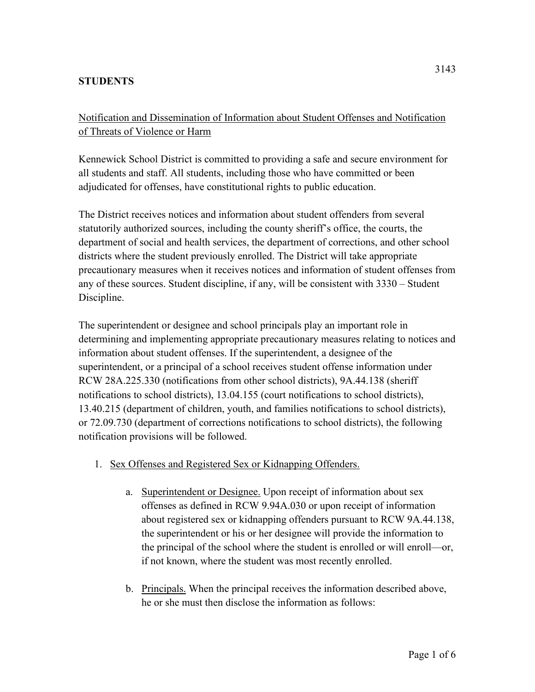## **STUDENTS**

Notification and Dissemination of Information about Student Offenses and Notification of Threats of Violence or Harm

Kennewick School District is committed to providing a safe and secure environment for all students and staff. All students, including those who have committed or been adjudicated for offenses, have constitutional rights to public education.

The District receives notices and information about student offenders from several statutorily authorized sources, including the county sheriff's office, the courts, the department of social and health services, the department of corrections, and other school districts where the student previously enrolled. The District will take appropriate precautionary measures when it receives notices and information of student offenses from any of these sources. Student discipline, if any, will be consistent with 3330 – Student Discipline.

The superintendent or designee and school principals play an important role in determining and implementing appropriate precautionary measures relating to notices and information about student offenses. If the superintendent, a designee of the superintendent, or a principal of a school receives student offense information under RCW 28A.225.330 (notifications from other school districts), 9A.44.138 (sheriff notifications to school districts), 13.04.155 (court notifications to school districts), 13.40.215 (department of children, youth, and families notifications to school districts), or 72.09.730 (department of corrections notifications to school districts), the following notification provisions will be followed.

- 1. Sex Offenses and Registered Sex or Kidnapping Offenders.
	- a. Superintendent or Designee. Upon receipt of information about sex offenses as defined in RCW 9.94A.030 or upon receipt of information about registered sex or kidnapping offenders pursuant to RCW 9A.44.138, the superintendent or his or her designee will provide the information to the principal of the school where the student is enrolled or will enroll—or, if not known, where the student was most recently enrolled.
	- b. Principals. When the principal receives the information described above, he or she must then disclose the information as follows: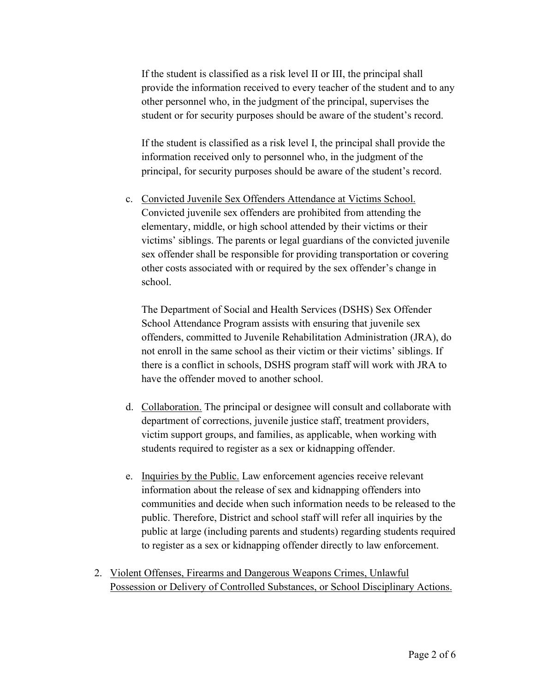If the student is classified as a risk level II or III, the principal shall provide the information received to every teacher of the student and to any other personnel who, in the judgment of the principal, supervises the student or for security purposes should be aware of the student's record.

If the student is classified as a risk level I, the principal shall provide the information received only to personnel who, in the judgment of the principal, for security purposes should be aware of the student's record.

c. Convicted Juvenile Sex Offenders Attendance at Victims School. Convicted juvenile sex offenders are prohibited from attending the elementary, middle, or high school attended by their victims or their victims' siblings. The parents or legal guardians of the convicted juvenile sex offender shall be responsible for providing transportation or covering other costs associated with or required by the sex offender's change in school.

The Department of Social and Health Services (DSHS) Sex Offender School Attendance Program assists with ensuring that juvenile sex offenders, committed to Juvenile Rehabilitation Administration (JRA), do not enroll in the same school as their victim or their victims' siblings. If there is a conflict in schools, DSHS program staff will work with JRA to have the offender moved to another school.

- d. Collaboration. The principal or designee will consult and collaborate with department of corrections, juvenile justice staff, treatment providers, victim support groups, and families, as applicable, when working with students required to register as a sex or kidnapping offender.
- e. Inquiries by the Public. Law enforcement agencies receive relevant information about the release of sex and kidnapping offenders into communities and decide when such information needs to be released to the public. Therefore, District and school staff will refer all inquiries by the public at large (including parents and students) regarding students required to register as a sex or kidnapping offender directly to law enforcement.
- 2. Violent Offenses, Firearms and Dangerous Weapons Crimes, Unlawful Possession or Delivery of Controlled Substances, or School Disciplinary Actions.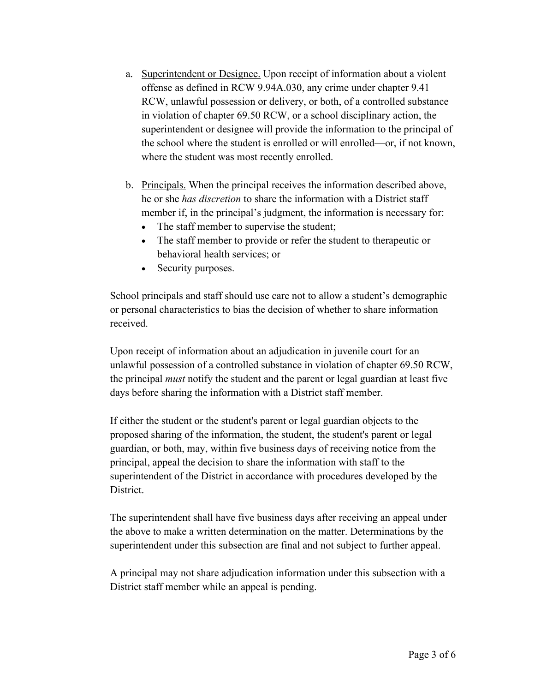- a. Superintendent or Designee. Upon receipt of information about a violent offense as defined in RCW 9.94A.030, any crime under chapter 9.41 RCW, unlawful possession or delivery, or both, of a controlled substance in violation of chapter 69.50 RCW, or a school disciplinary action, the superintendent or designee will provide the information to the principal of the school where the student is enrolled or will enrolled—or, if not known, where the student was most recently enrolled.
- b. Principals. When the principal receives the information described above, he or she *has discretion* to share the information with a District staff member if, in the principal's judgment, the information is necessary for:
	- The staff member to supervise the student;
	- The staff member to provide or refer the student to therapeutic or behavioral health services; or
	- Security purposes.

School principals and staff should use care not to allow a student's demographic or personal characteristics to bias the decision of whether to share information received.

Upon receipt of information about an adjudication in juvenile court for an unlawful possession of a controlled substance in violation of chapter 69.50 RCW, the principal *must* notify the student and the parent or legal guardian at least five days before sharing the information with a District staff member.

If either the student or the student's parent or legal guardian objects to the proposed sharing of the information, the student, the student's parent or legal guardian, or both, may, within five business days of receiving notice from the principal, appeal the decision to share the information with staff to the superintendent of the District in accordance with procedures developed by the District.

The superintendent shall have five business days after receiving an appeal under the above to make a written determination on the matter. Determinations by the superintendent under this subsection are final and not subject to further appeal.

A principal may not share adjudication information under this subsection with a District staff member while an appeal is pending.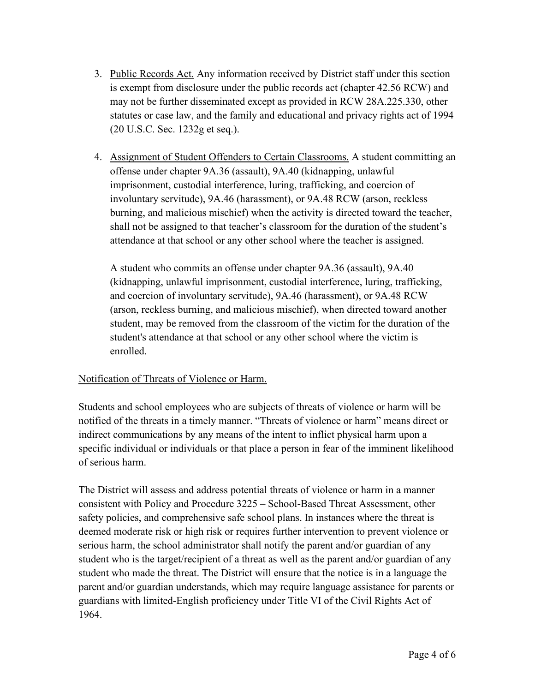- 3. Public Records Act. Any information received by District staff under this section is exempt from disclosure under the public records act (chapter 42.56 RCW) and may not be further disseminated except as provided in RCW 28A.225.330, other statutes or case law, and the family and educational and privacy rights act of 1994 (20 U.S.C. Sec. 1232g et seq.).
- 4. Assignment of Student Offenders to Certain Classrooms. A student committing an offense under chapter 9A.36 (assault), 9A.40 (kidnapping, unlawful imprisonment, custodial interference, luring, trafficking, and coercion of involuntary servitude), 9A.46 (harassment), or 9A.48 RCW (arson, reckless burning, and malicious mischief) when the activity is directed toward the teacher, shall not be assigned to that teacher's classroom for the duration of the student's attendance at that school or any other school where the teacher is assigned.

A student who commits an offense under chapter 9A.36 (assault), 9A.40 (kidnapping, unlawful imprisonment, custodial interference, luring, trafficking, and coercion of involuntary servitude), 9A.46 (harassment), or 9A.48 RCW (arson, reckless burning, and malicious mischief), when directed toward another student, may be removed from the classroom of the victim for the duration of the student's attendance at that school or any other school where the victim is enrolled.

## Notification of Threats of Violence or Harm.

Students and school employees who are subjects of threats of violence or harm will be notified of the threats in a timely manner. "Threats of violence or harm" means direct or indirect communications by any means of the intent to inflict physical harm upon a specific individual or individuals or that place a person in fear of the imminent likelihood of serious harm.

The District will assess and address potential threats of violence or harm in a manner consistent with Policy and Procedure 3225 – School-Based Threat Assessment, other safety policies, and comprehensive safe school plans. In instances where the threat is deemed moderate risk or high risk or requires further intervention to prevent violence or serious harm, the school administrator shall notify the parent and/or guardian of any student who is the target/recipient of a threat as well as the parent and/or guardian of any student who made the threat. The District will ensure that the notice is in a language the parent and/or guardian understands, which may require language assistance for parents or guardians with limited-English proficiency under Title VI of the Civil Rights Act of 1964.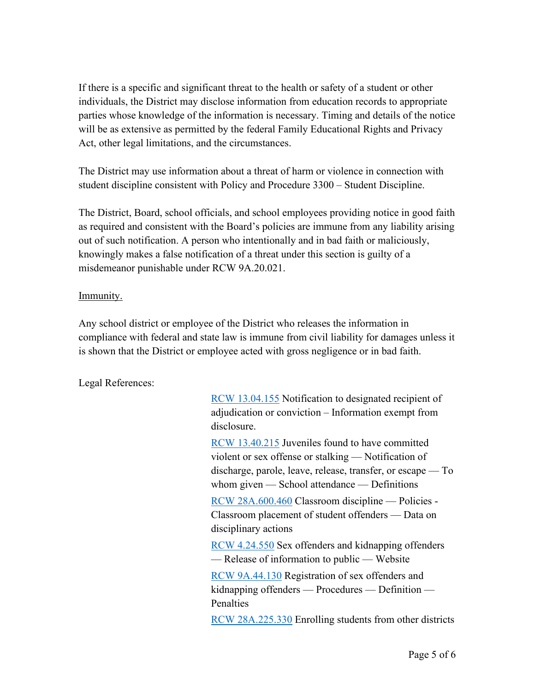If there is a specific and significant threat to the health or safety of a student or other individuals, the District may disclose information from education records to appropriate parties whose knowledge of the information is necessary. Timing and details of the notice will be as extensive as permitted by the federal Family Educational Rights and Privacy Act, other legal limitations, and the circumstances.

The District may use information about a threat of harm or violence in connection with student discipline consistent with Policy and Procedure 3300 – Student Discipline.

The District, Board, school officials, and school employees providing notice in good faith as required and consistent with the Board's policies are immune from any liability arising out of such notification. A person who intentionally and in bad faith or maliciously, knowingly makes a false notification of a threat under this section is guilty of a misdemeanor punishable under RCW 9A.20.021.

## Immunity.

Any school district or employee of the District who releases the information in compliance with federal and state law is immune from civil liability for damages unless it is shown that the District or employee acted with gross negligence or in bad faith.

Legal References:

[RCW 13.04.155](https://app.leg.wa.gov/rcw/default.aspx?cite=13.04.155) Notification to designated recipient of adjudication or conviction – Information exempt from disclosure.

[RCW 13.40.215](https://app.leg.wa.gov/rcw/default.aspx?cite=13.40.215) Juveniles found to have committed violent or sex offense or stalking — Notification of discharge, parole, leave, release, transfer, or escape — To whom given — School attendance — Definitions

[RCW 28A.600.460](https://app.leg.wa.gov/rcw/default.aspx?cite=28A.600.460) Classroom discipline — Policies - Classroom placement of student offenders — Data on disciplinary actions

[RCW 4.24.550](https://apps.leg.wa.gov/RCW/default.aspx?cite=4.24.550) Sex offenders and kidnapping offenders — Release of information to public — Website

[RCW 9A.44.130](https://app.leg.wa.gov/rcw/default.aspx?cite=9a.44.130) Registration of sex offenders and kidnapping offenders — Procedures — Definition — Penalties

[RCW 28A.225.330](https://app.leg.wa.gov/rcw/default.aspx?cite=28A.225.330) Enrolling students from other districts